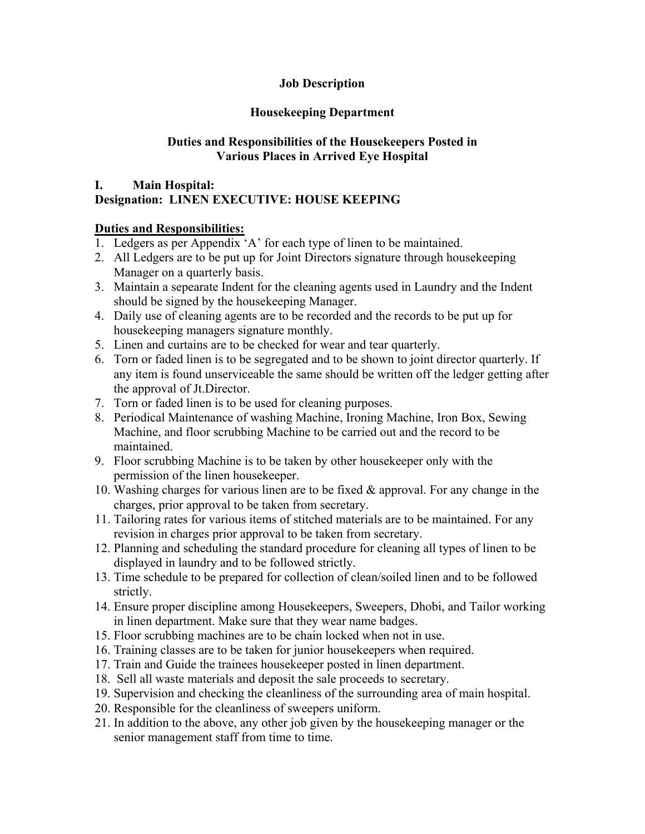## **Job Description**

## **Housekeeping Department**

## **Duties and Responsibilities of the Housekeepers Posted in Various Places in Arrived Eye Hospital**

## **I. Main Hospital:**

# **Designation: LINEN EXECUTIVE: HOUSE KEEPING**

## **Duties and Responsibilities:**

- 1. Ledgers as per Appendix 'A' for each type of linen to be maintained.
- 2. All Ledgers are to be put up for Joint Directors signature through housekeeping Manager on a quarterly basis.
- 3. Maintain a sepearate Indent for the cleaning agents used in Laundry and the Indent should be signed by the housekeeping Manager.
- 4. Daily use of cleaning agents are to be recorded and the records to be put up for housekeeping managers signature monthly.
- 5. Linen and curtains are to be checked for wear and tear quarterly.
- 6. Torn or faded linen is to be segregated and to be shown to joint director quarterly. If any item is found unserviceable the same should be written off the ledger getting after the approval of Jt.Director.
- 7. Torn or faded linen is to be used for cleaning purposes.
- 8. Periodical Maintenance of washing Machine, Ironing Machine, Iron Box, Sewing Machine, and floor scrubbing Machine to be carried out and the record to be maintained.
- 9. Floor scrubbing Machine is to be taken by other housekeeper only with the permission of the linen housekeeper.
- 10. Washing charges for various linen are to be fixed & approval. For any change in the charges, prior approval to be taken from secretary.
- 11. Tailoring rates for various items of stitched materials are to be maintained. For any revision in charges prior approval to be taken from secretary.
- 12. Planning and scheduling the standard procedure for cleaning all types of linen to be displayed in laundry and to be followed strictly.
- 13. Time schedule to be prepared for collection of clean/soiled linen and to be followed strictly.
- 14. Ensure proper discipline among Housekeepers, Sweepers, Dhobi, and Tailor working in linen department. Make sure that they wear name badges.
- 15. Floor scrubbing machines are to be chain locked when not in use.
- 16. Training classes are to be taken for junior housekeepers when required.
- 17. Train and Guide the trainees housekeeper posted in linen department.
- 18. Sell all waste materials and deposit the sale proceeds to secretary.
- 19. Supervision and checking the cleanliness of the surrounding area of main hospital.
- 20. Responsible for the cleanliness of sweepers uniform.
- 21. In addition to the above, any other job given by the housekeeping manager or the senior management staff from time to time.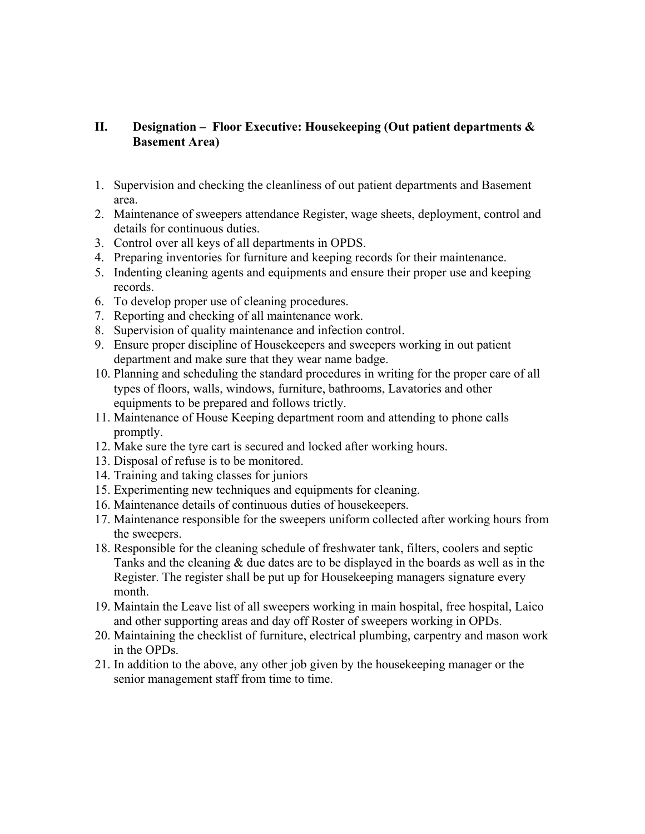### **II. Designation – Floor Executive: Housekeeping (Out patient departments & Basement Area)**

- 1. Supervision and checking the cleanliness of out patient departments and Basement area.
- 2. Maintenance of sweepers attendance Register, wage sheets, deployment, control and details for continuous duties.
- 3. Control over all keys of all departments in OPDS.
- 4. Preparing inventories for furniture and keeping records for their maintenance.
- 5. Indenting cleaning agents and equipments and ensure their proper use and keeping records.
- 6. To develop proper use of cleaning procedures.
- 7. Reporting and checking of all maintenance work.
- 8. Supervision of quality maintenance and infection control.
- 9. Ensure proper discipline of Housekeepers and sweepers working in out patient department and make sure that they wear name badge.
- 10. Planning and scheduling the standard procedures in writing for the proper care of all types of floors, walls, windows, furniture, bathrooms, Lavatories and other equipments to be prepared and follows trictly.
- 11. Maintenance of House Keeping department room and attending to phone calls promptly.
- 12. Make sure the tyre cart is secured and locked after working hours.
- 13. Disposal of refuse is to be monitored.
- 14. Training and taking classes for juniors
- 15. Experimenting new techniques and equipments for cleaning.
- 16. Maintenance details of continuous duties of housekeepers.
- 17. Maintenance responsible for the sweepers uniform collected after working hours from the sweepers.
- 18. Responsible for the cleaning schedule of freshwater tank, filters, coolers and septic Tanks and the cleaning & due dates are to be displayed in the boards as well as in the Register. The register shall be put up for Housekeeping managers signature every month.
- 19. Maintain the Leave list of all sweepers working in main hospital, free hospital, Laico and other supporting areas and day off Roster of sweepers working in OPDs.
- 20. Maintaining the checklist of furniture, electrical plumbing, carpentry and mason work in the OPDs.
- 21. In addition to the above, any other job given by the housekeeping manager or the senior management staff from time to time.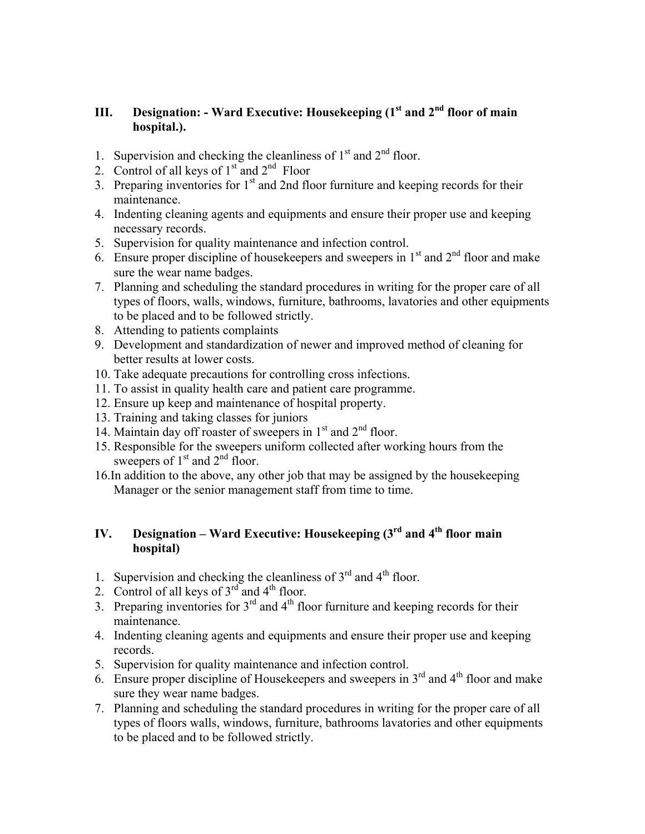# **III. Designation: - Ward Executive: Housekeeping (1st and 2<sup>nd</sup> floor of main hospital.).**

- 1. Supervision and checking the cleanliness of  $1<sup>st</sup>$  and  $2<sup>nd</sup>$  floor.
- 2. Control of all keys of  $1<sup>st</sup>$  and  $2<sup>nd</sup>$  Floor
- 3. Preparing inventories for  $1<sup>st</sup>$  and 2nd floor furniture and keeping records for their maintenance.
- 4. Indenting cleaning agents and equipments and ensure their proper use and keeping necessary records.
- 5. Supervision for quality maintenance and infection control.
- 6. Ensure proper discipline of housekeepers and sweepers in  $1<sup>st</sup>$  and  $2<sup>nd</sup>$  floor and make sure the wear name badges.
- 7. Planning and scheduling the standard procedures in writing for the proper care of all types of floors, walls, windows, furniture, bathrooms, lavatories and other equipments to be placed and to be followed strictly.
- 8. Attending to patients complaints
- 9. Development and standardization of newer and improved method of cleaning for better results at lower costs.
- 10. Take adequate precautions for controlling cross infections.
- 11. To assist in quality health care and patient care programme.
- 12. Ensure up keep and maintenance of hospital property.
- 13. Training and taking classes for juniors
- 14. Maintain day off roaster of sweepers in  $1<sup>st</sup>$  and  $2<sup>nd</sup>$  floor.
- 15. Responsible for the sweepers uniform collected after working hours from the sweepers of  $1<sup>st</sup>$  and  $2<sup>nd</sup>$  floor.
- 16.In addition to the above, any other job that may be assigned by the housekeeping Manager or the senior management staff from time to time.

# **IV. Designation – Ward Executive: Housekeeping**  $(3^{rd}$  **and**  $4^{th}$  **floor main hospital)**

- 1. Supervision and checking the cleanliness of  $3<sup>rd</sup>$  and  $4<sup>th</sup>$  floor.
- 2. Control of all keys of  $3<sup>rd</sup>$  and  $4<sup>th</sup>$  floor.
- 3. Preparing inventories for  $3<sup>rd</sup>$  and  $4<sup>th</sup>$  floor furniture and keeping records for their maintenance.
- 4. Indenting cleaning agents and equipments and ensure their proper use and keeping records.
- 5. Supervision for quality maintenance and infection control.
- 6. Ensure proper discipline of Housekeepers and sweepers in  $3<sup>rd</sup>$  and  $4<sup>th</sup>$  floor and make sure they wear name badges.
- 7. Planning and scheduling the standard procedures in writing for the proper care of all types of floors walls, windows, furniture, bathrooms lavatories and other equipments to be placed and to be followed strictly.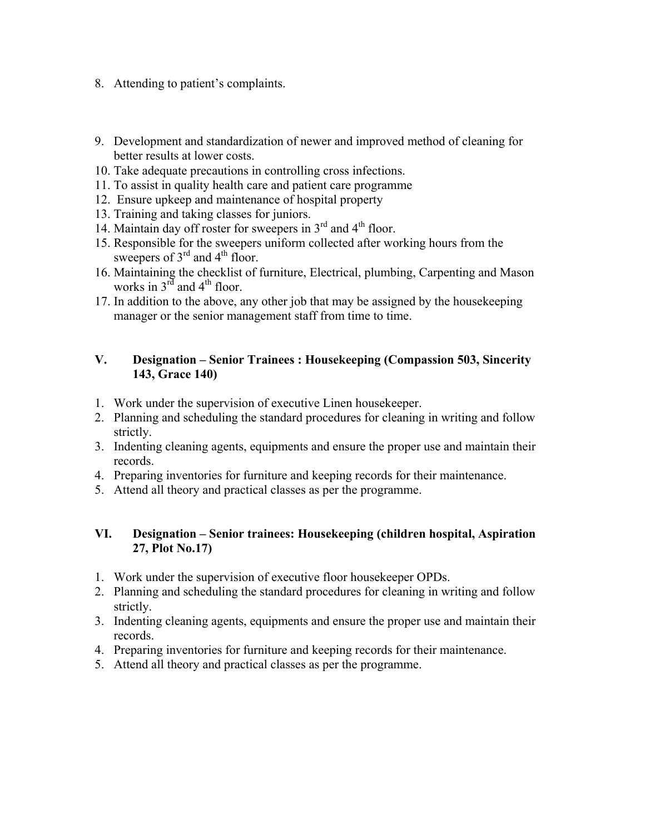- 8. Attending to patient's complaints.
- 9. Development and standardization of newer and improved method of cleaning for better results at lower costs.
- 10. Take adequate precautions in controlling cross infections.
- 11. To assist in quality health care and patient care programme
- 12. Ensure upkeep and maintenance of hospital property
- 13. Training and taking classes for juniors.
- 14. Maintain day off roster for sweepers in  $3<sup>rd</sup>$  and  $4<sup>th</sup>$  floor.
- 15. Responsible for the sweepers uniform collected after working hours from the sweepers of  $3<sup>rd</sup>$  and  $4<sup>th</sup>$  floor.
- 16. Maintaining the checklist of furniture, Electrical, plumbing, Carpenting and Mason works in  $3^{rd}$  and  $4^{th}$  floor.
- 17. In addition to the above, any other job that may be assigned by the housekeeping manager or the senior management staff from time to time.

## **V. Designation – Senior Trainees : Housekeeping (Compassion 503, Sincerity 143, Grace 140)**

- 1. Work under the supervision of executive Linen housekeeper.
- 2. Planning and scheduling the standard procedures for cleaning in writing and follow strictly.
- 3. Indenting cleaning agents, equipments and ensure the proper use and maintain their records.
- 4. Preparing inventories for furniture and keeping records for their maintenance.
- 5. Attend all theory and practical classes as per the programme.

### **VI. Designation – Senior trainees: Housekeeping (children hospital, Aspiration 27, Plot No.17)**

- 1. Work under the supervision of executive floor housekeeper OPDs.
- 2. Planning and scheduling the standard procedures for cleaning in writing and follow strictly.
- 3. Indenting cleaning agents, equipments and ensure the proper use and maintain their records.
- 4. Preparing inventories for furniture and keeping records for their maintenance.
- 5. Attend all theory and practical classes as per the programme.